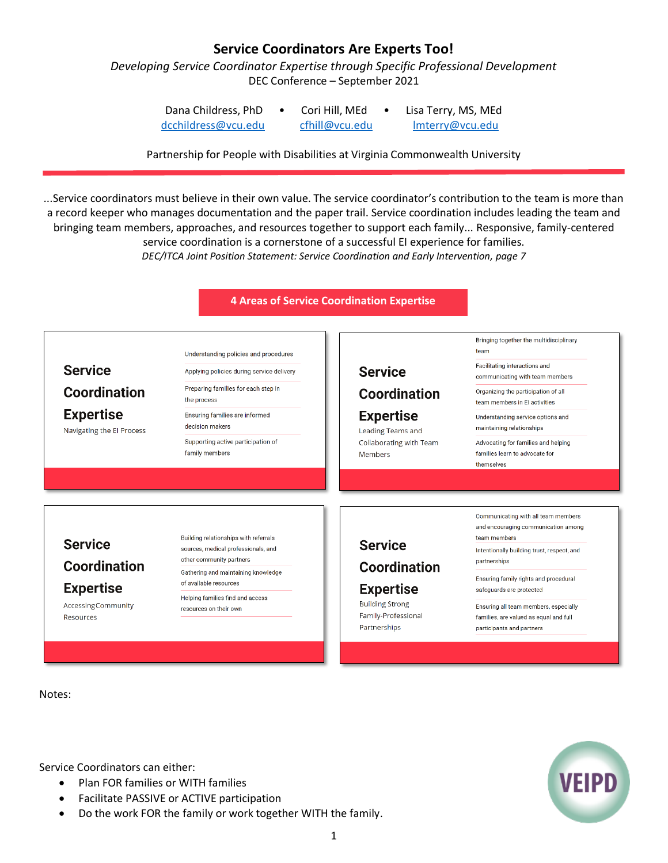## **Service Coordinators Are Experts Too!**

*Developing Service Coordinator Expertise through Specific Professional Development* DEC Conference – September 2021

| Dana Childress, PhD | Cori Hill, MEd | Lisa Terry, MS, MEd |
|---------------------|----------------|---------------------|
| dcchildress@vcu.edu | cfhill@vcu.edu | Imterry@vcu.edu     |

Partnership for People with Disabilities at Virginia Commonwealth University

...Service coordinators must believe in their own value. The service coordinator's contribution to the team is more than a record keeper who manages documentation and the paper trail. Service coordination includes leading the team and bringing team members, approaches, and resources together to support each family... Responsive, family-centered service coordination is a cornerstone of a successful EI experience for families. *DEC/ITCA Joint Position Statement: Service Coordination and Early Intervention, page 7*

**4 Areas of Service Coordination Expertise**



Notes:

Service Coordinators can either:

- Plan FOR families or WITH families
- Facilitate PASSIVE or ACTIVE participation
- Do the work FOR the family or work together WITH the family.